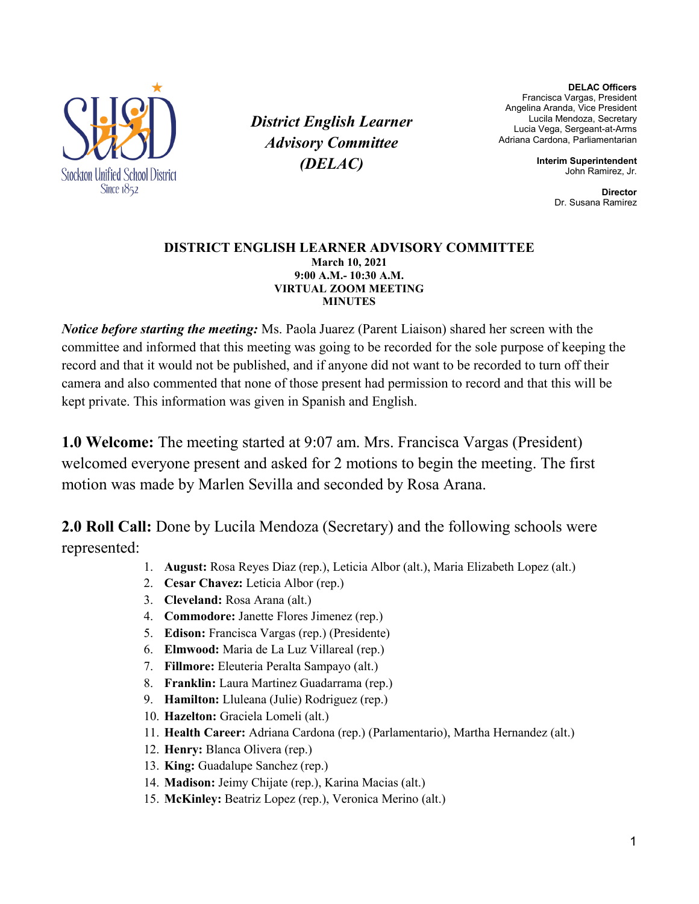

*District English Learner Advisory Committee (DELAC)*

**DELAC Officers** Francisca Vargas, President Angelina Aranda, Vice President Lucila Mendoza, Secretary Lucia Vega, Sergeant-at-Arms Adriana Cardona, Parliamentarian

> **Interim Superintendent** John Ramirez, Jr.

> > **Director** Dr. Susana Ramirez

## **DISTRICT ENGLISH LEARNER ADVISORY COMMITTEE March 10, 2021 9:00 A.M.- 10:30 A.M. VIRTUAL ZOOM MEETING MINUTES**

*Notice before starting the meeting:* Ms. Paola Juarez (Parent Liaison) shared her screen with the committee and informed that this meeting was going to be recorded for the sole purpose of keeping the record and that it would not be published, and if anyone did not want to be recorded to turn off their camera and also commented that none of those present had permission to record and that this will be kept private. This information was given in Spanish and English.

**1.0 Welcome:** The meeting started at 9:07 am. Mrs. Francisca Vargas (President) welcomed everyone present and asked for 2 motions to begin the meeting. The first motion was made by Marlen Sevilla and seconded by Rosa Arana.

**2.0 Roll Call:** Done by Lucila Mendoza (Secretary) and the following schools were represented:

- 1. **August:** Rosa Reyes Diaz (rep.), Leticia Albor (alt.), Maria Elizabeth Lopez (alt.)
- 2. **Cesar Chavez:** Leticia Albor (rep.)
- 3. **Cleveland:** Rosa Arana (alt.)
- 4. **Commodore:** Janette Flores Jimenez (rep.)
- 5. **Edison:** Francisca Vargas (rep.) (Presidente)
- 6. **Elmwood:** Maria de La Luz Villareal (rep.)
- 7. **Fillmore:** Eleuteria Peralta Sampayo (alt.)
- 8. **Franklin:** Laura Martinez Guadarrama (rep.)
- 9. **Hamilton:** Lluleana (Julie) Rodriguez (rep.)
- 10. **Hazelton:** Graciela Lomeli (alt.)
- 11. **Health Career:** Adriana Cardona (rep.) (Parlamentario), Martha Hernandez (alt.)
- 12. **Henry:** Blanca Olivera (rep.)
- 13. **King:** Guadalupe Sanchez (rep.)
- 14. **Madison:** Jeimy Chijate (rep.), Karina Macias (alt.)
- 15. **McKinley:** Beatriz Lopez (rep.), Veronica Merino (alt.)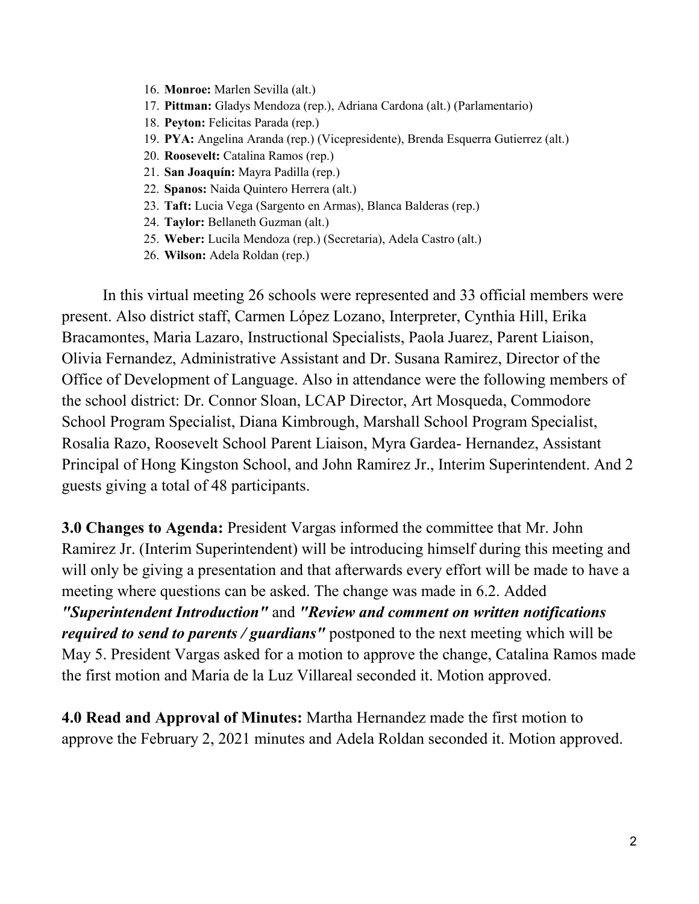- 16. **Monroe:** Marlen Sevilla (alt.)
- 17. **Pittman:** Gladys Mendoza (rep.), Adriana Cardona (alt.) (Parlamentario)
- 18. **Peyton:** Felicitas Parada (rep.)
- 19. **PYA:** Angelina Aranda (rep.) (Vicepresidente), Brenda Esquerra Gutierrez (alt.)
- 20. **Roosevelt:** Catalina Ramos (rep.)
- 21. **San Joaquín:** Mayra Padilla (rep.)
- 22. **Spanos:** Naida Quintero Herrera (alt.)
- 23. **Taft:** Lucia Vega (Sargento en Armas), Blanca Balderas (rep.)
- 24. **Taylor:** Bellaneth Guzman (alt.)
- 25. **Weber:** Lucila Mendoza (rep.) (Secretaria), Adela Castro (alt.)
- 26. **Wilson:** Adela Roldan (rep.)

In this virtual meeting 26 schools were represented and 33 official members were present. Also district staff, Carmen López Lozano, Interpreter, Cynthia Hill, Erika Bracamontes, Maria Lazaro, Instructional Specialists, Paola Juarez, Parent Liaison, Olivia Fernandez, Administrative Assistant and Dr. Susana Ramirez, Director of the Office of Development of Language. Also in attendance were the following members of the school district: Dr. Connor Sloan, LCAP Director, Art Mosqueda, Commodore School Program Specialist, Diana Kimbrough, Marshall School Program Specialist, Rosalia Razo, Roosevelt School Parent Liaison, Myra Gardea- Hernandez, Assistant Principal of Hong Kingston School, and John Ramirez Jr., Interim Superintendent. And 2 guests giving a total of 48 participants.

**3.0 Changes to Agenda:** President Vargas informed the committee that Mr. John Ramirez Jr. (Interim Superintendent) will be introducing himself during this meeting and will only be giving a presentation and that afterwards every effort will be made to have a meeting where questions can be asked. The change was made in 6.2. Added *"Superintendent Introduction"* and *"Review and comment on written notifications required to send to parents / guardians"* postponed to the next meeting which will be May 5. President Vargas asked for a motion to approve the change, Catalina Ramos made the first motion and Maria de la Luz Villareal seconded it. Motion approved.

**4.0 Read and Approval of Minutes:** Martha Hernandez made the first motion to approve the February 2, 2021 minutes and Adela Roldan seconded it. Motion approved.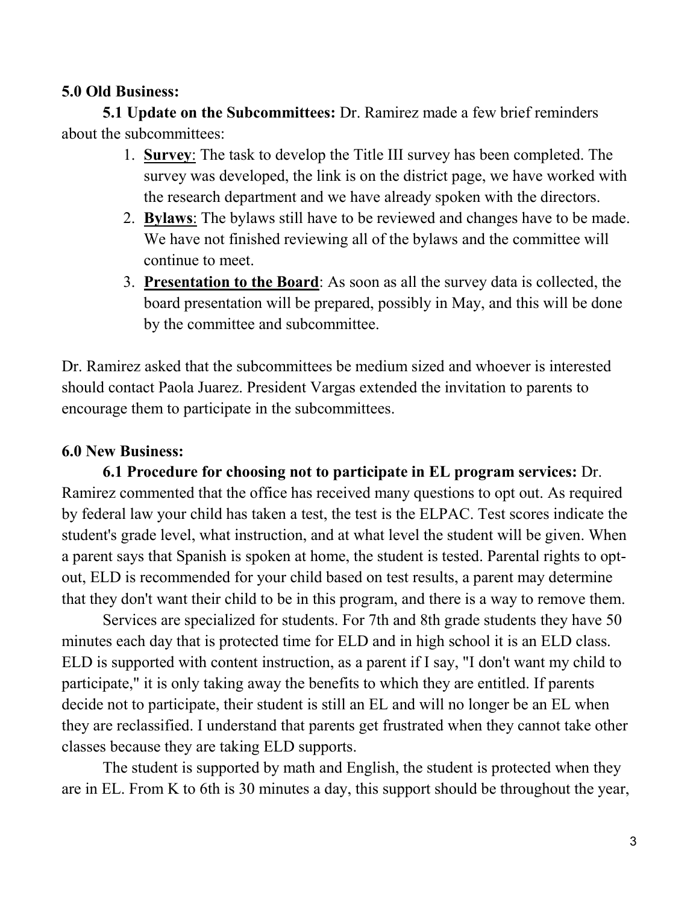## **5.0 Old Business:**

**5.1 Update on the Subcommittees:** Dr. Ramirez made a few brief reminders about the subcommittees:

- 1. **Survey**: The task to develop the Title III survey has been completed. The survey was developed, the link is on the district page, we have worked with the research department and we have already spoken with the directors.
- 2. **Bylaws**: The bylaws still have to be reviewed and changes have to be made. We have not finished reviewing all of the bylaws and the committee will continue to meet.
- 3. **Presentation to the Board**: As soon as all the survey data is collected, the board presentation will be prepared, possibly in May, and this will be done by the committee and subcommittee.

Dr. Ramirez asked that the subcommittees be medium sized and whoever is interested should contact Paola Juarez. President Vargas extended the invitation to parents to encourage them to participate in the subcommittees.

## **6.0 New Business:**

**6.1 Procedure for choosing not to participate in EL program services:** Dr. Ramirez commented that the office has received many questions to opt out. As required by federal law your child has taken a test, the test is the ELPAC. Test scores indicate the student's grade level, what instruction, and at what level the student will be given. When a parent says that Spanish is spoken at home, the student is tested. Parental rights to optout, ELD is recommended for your child based on test results, a parent may determine that they don't want their child to be in this program, and there is a way to remove them.

Services are specialized for students. For 7th and 8th grade students they have 50 minutes each day that is protected time for ELD and in high school it is an ELD class. ELD is supported with content instruction, as a parent if I say, "I don't want my child to participate," it is only taking away the benefits to which they are entitled. If parents decide not to participate, their student is still an EL and will no longer be an EL when they are reclassified. I understand that parents get frustrated when they cannot take other classes because they are taking ELD supports.

The student is supported by math and English, the student is protected when they are in EL. From K to 6th is 30 minutes a day, this support should be throughout the year,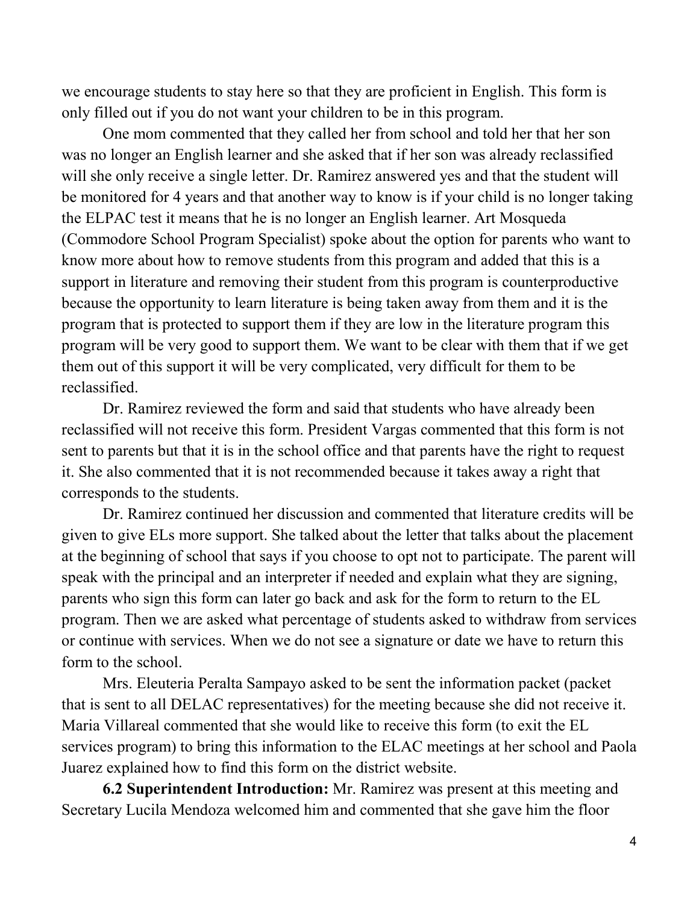we encourage students to stay here so that they are proficient in English. This form is only filled out if you do not want your children to be in this program.

One mom commented that they called her from school and told her that her son was no longer an English learner and she asked that if her son was already reclassified will she only receive a single letter. Dr. Ramirez answered yes and that the student will be monitored for 4 years and that another way to know is if your child is no longer taking the ELPAC test it means that he is no longer an English learner. Art Mosqueda (Commodore School Program Specialist) spoke about the option for parents who want to know more about how to remove students from this program and added that this is a support in literature and removing their student from this program is counterproductive because the opportunity to learn literature is being taken away from them and it is the program that is protected to support them if they are low in the literature program this program will be very good to support them. We want to be clear with them that if we get them out of this support it will be very complicated, very difficult for them to be reclassified.

Dr. Ramirez reviewed the form and said that students who have already been reclassified will not receive this form. President Vargas commented that this form is not sent to parents but that it is in the school office and that parents have the right to request it. She also commented that it is not recommended because it takes away a right that corresponds to the students.

Dr. Ramirez continued her discussion and commented that literature credits will be given to give ELs more support. She talked about the letter that talks about the placement at the beginning of school that says if you choose to opt not to participate. The parent will speak with the principal and an interpreter if needed and explain what they are signing, parents who sign this form can later go back and ask for the form to return to the EL program. Then we are asked what percentage of students asked to withdraw from services or continue with services. When we do not see a signature or date we have to return this form to the school.

Mrs. Eleuteria Peralta Sampayo asked to be sent the information packet (packet that is sent to all DELAC representatives) for the meeting because she did not receive it. Maria Villareal commented that she would like to receive this form (to exit the EL services program) to bring this information to the ELAC meetings at her school and Paola Juarez explained how to find this form on the district website.

**6.2 Superintendent Introduction:** Mr. Ramirez was present at this meeting and Secretary Lucila Mendoza welcomed him and commented that she gave him the floor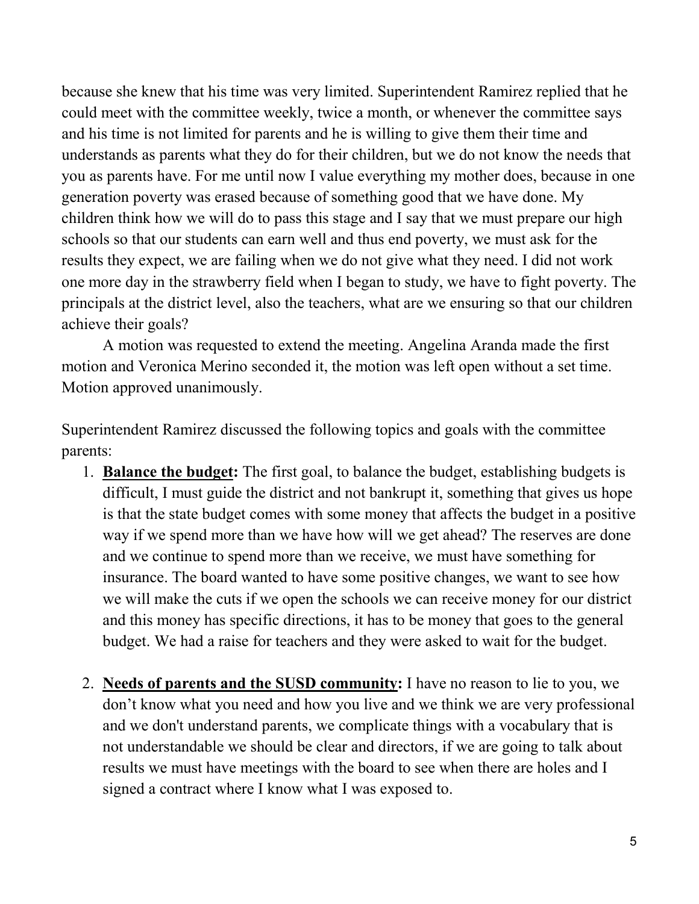because she knew that his time was very limited. Superintendent Ramirez replied that he could meet with the committee weekly, twice a month, or whenever the committee says and his time is not limited for parents and he is willing to give them their time and understands as parents what they do for their children, but we do not know the needs that you as parents have. For me until now I value everything my mother does, because in one generation poverty was erased because of something good that we have done. My children think how we will do to pass this stage and I say that we must prepare our high schools so that our students can earn well and thus end poverty, we must ask for the results they expect, we are failing when we do not give what they need. I did not work one more day in the strawberry field when I began to study, we have to fight poverty. The principals at the district level, also the teachers, what are we ensuring so that our children achieve their goals?

A motion was requested to extend the meeting. Angelina Aranda made the first motion and Veronica Merino seconded it, the motion was left open without a set time. Motion approved unanimously.

Superintendent Ramirez discussed the following topics and goals with the committee parents:

- 1. **Balance the budget:** The first goal, to balance the budget, establishing budgets is difficult, I must guide the district and not bankrupt it, something that gives us hope is that the state budget comes with some money that affects the budget in a positive way if we spend more than we have how will we get ahead? The reserves are done and we continue to spend more than we receive, we must have something for insurance. The board wanted to have some positive changes, we want to see how we will make the cuts if we open the schools we can receive money for our district and this money has specific directions, it has to be money that goes to the general budget. We had a raise for teachers and they were asked to wait for the budget.
- 2. **Needs of parents and the SUSD community:** I have no reason to lie to you, we don't know what you need and how you live and we think we are very professional and we don't understand parents, we complicate things with a vocabulary that is not understandable we should be clear and directors, if we are going to talk about results we must have meetings with the board to see when there are holes and I signed a contract where I know what I was exposed to.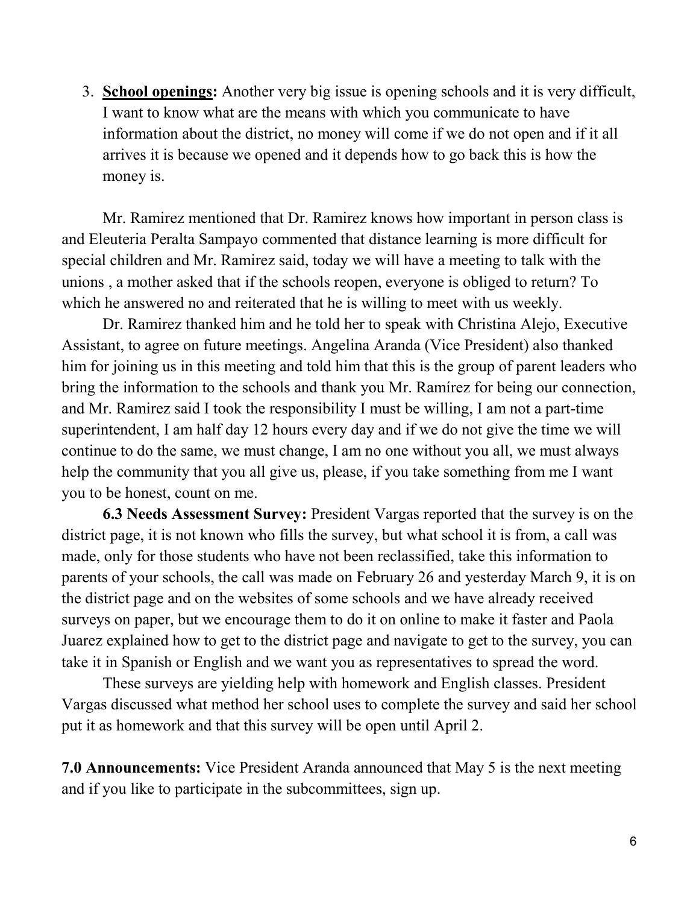3. **School openings:** Another very big issue is opening schools and it is very difficult, I want to know what are the means with which you communicate to have information about the district, no money will come if we do not open and if it all arrives it is because we opened and it depends how to go back this is how the money is.

Mr. Ramirez mentioned that Dr. Ramirez knows how important in person class is and Eleuteria Peralta Sampayo commented that distance learning is more difficult for special children and Mr. Ramirez said, today we will have a meeting to talk with the unions , a mother asked that if the schools reopen, everyone is obliged to return? To which he answered no and reiterated that he is willing to meet with us weekly.

Dr. Ramirez thanked him and he told her to speak with Christina Alejo, Executive Assistant, to agree on future meetings. Angelina Aranda (Vice President) also thanked him for joining us in this meeting and told him that this is the group of parent leaders who bring the information to the schools and thank you Mr. Ramírez for being our connection, and Mr. Ramirez said I took the responsibility I must be willing, I am not a part-time superintendent, I am half day 12 hours every day and if we do not give the time we will continue to do the same, we must change, I am no one without you all, we must always help the community that you all give us, please, if you take something from me I want you to be honest, count on me.

**6.3 Needs Assessment Survey:** President Vargas reported that the survey is on the district page, it is not known who fills the survey, but what school it is from, a call was made, only for those students who have not been reclassified, take this information to parents of your schools, the call was made on February 26 and yesterday March 9, it is on the district page and on the websites of some schools and we have already received surveys on paper, but we encourage them to do it on online to make it faster and Paola Juarez explained how to get to the district page and navigate to get to the survey, you can take it in Spanish or English and we want you as representatives to spread the word.

These surveys are yielding help with homework and English classes. President Vargas discussed what method her school uses to complete the survey and said her school put it as homework and that this survey will be open until April 2.

**7.0 Announcements:** Vice President Aranda announced that May 5 is the next meeting and if you like to participate in the subcommittees, sign up.